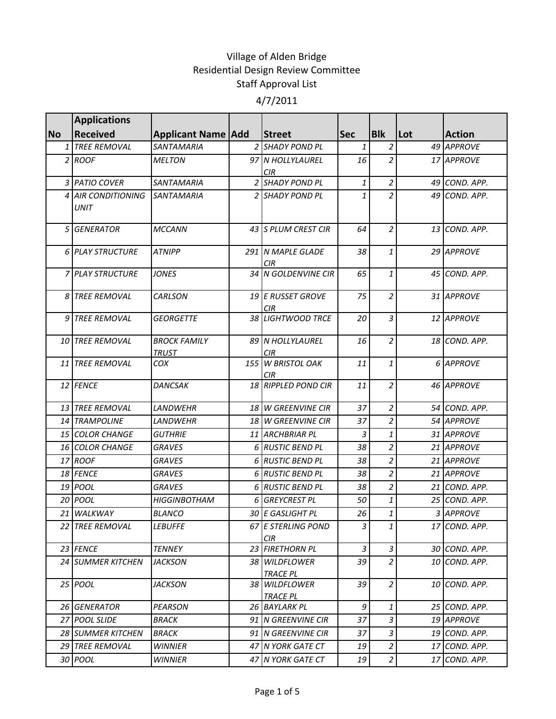|           | <b>Applications</b>               |                                     |                                       |                |                |     |               |
|-----------|-----------------------------------|-------------------------------------|---------------------------------------|----------------|----------------|-----|---------------|
| <b>No</b> | <b>Received</b>                   | <b>Applicant Name   Add</b>         | <b>Street</b>                         | <b>Sec</b>     | <b>Blk</b>     | Lot | <b>Action</b> |
|           | 1 TREE REMOVAL                    | <b>SANTAMARIA</b>                   | 2 SHADY POND PL                       | 1              | $\overline{a}$ |     | 49 APPROVE    |
|           | 2 ROOF                            | <b>MELTON</b>                       | 97 N HOLLYLAUREL<br>CIR               | 16             | $\overline{2}$ |     | 17 APPROVE    |
|           | 3 PATIO COVER                     | <b>SANTAMARIA</b>                   | 2 SHADY POND PL                       | 1              | $\overline{a}$ |     | 49 COND. APP. |
|           | 4 AIR CONDITIONING<br><b>UNIT</b> | <b>SANTAMARIA</b>                   | 2 SHADY POND PL                       | 1              | $\overline{a}$ |     | 49 COND. APP. |
|           | 5 GENERATOR                       | <b>MCCANN</b>                       | 43 S PLUM CREST CIR                   | 64             | $\overline{a}$ |     | 13 COND. APP. |
|           | 6 PLAY STRUCTURE                  | <b>ATNIPP</b>                       | 291 N MAPLE GLADE<br>CIR <sub>.</sub> | 38             | $\mathbf{1}$   |     | 29 APPROVE    |
|           | 7 PLAY STRUCTURE                  | <b>JONES</b>                        | 34 N GOLDENVINE CIR                   | 65             | $\mathbf{1}$   |     | 45 COND. APP. |
| 8         | <b>TREE REMOVAL</b>               | <b>CARLSON</b>                      | 19 E RUSSET GROVE<br><b>CIR</b>       | 75             | $\overline{a}$ |     | 31 APPROVE    |
| 9         | <b>TREE REMOVAL</b>               | <b>GEORGETTE</b>                    | 38 LIGHTWOOD TRCE                     | 20             | $\overline{3}$ |     | 12 APPROVE    |
|           | <b>10 TREE REMOVAL</b>            | <b>BROCK FAMILY</b><br><b>TRUST</b> | 89 N HOLLYLAUREL<br>CIR               | 16             | $\overline{2}$ |     | 18 COND. APP. |
|           | 11 TREE REMOVAL                   | COX                                 | 155 W BRISTOL OAK<br><b>CIR</b>       | 11             | $\mathbf{1}$   |     | 6 APPROVE     |
|           | 12 FENCE                          | <b>DANCSAK</b>                      | 18 RIPPLED POND CIR                   | 11             | $\overline{a}$ |     | 46 APPROVE    |
|           | 13 TREE REMOVAL                   | <b>LANDWEHR</b>                     | 18 W GREENVINE CIR                    | 37             | $\overline{a}$ |     | 54 COND. APP. |
|           | <b>14 TRAMPOLINE</b>              | LANDWEHR                            | 18 W GREENVINE CIR                    | 37             | $\overline{a}$ |     | 54 APPROVE    |
|           | 15 COLOR CHANGE                   | <b>GUTHRIE</b>                      | 11 ARCHBRIAR PL                       | $\overline{3}$ | $\mathbf{1}$   |     | 31 APPROVE    |
|           | <b>16 COLOR CHANGE</b>            | <b>GRAVES</b>                       | 6 RUSTIC BEND PL                      | 38             | $\overline{a}$ |     | 21 APPROVE    |
|           | 17 ROOF                           | <b>GRAVES</b>                       | 6 RUSTIC BEND PL                      | 38             | $\overline{a}$ |     | 21 APPROVE    |
|           | 18 FENCE                          | <b>GRAVES</b>                       | 6 RUSTIC BEND PL                      | 38             | $\overline{a}$ |     | 21 APPROVE    |
|           | 19 <i>POOL</i>                    | <b>GRAVES</b>                       | 6 RUSTIC BEND PL                      | 38             | $\overline{a}$ |     | 21 COND. APP. |
|           | <b>20 POOL</b>                    | <b>HIGGINBOTHAM</b>                 | 6 GREYCREST PL                        | 50             | $\mathbf{1}$   |     | 25 COND. APP. |
|           | 21 WALKWAY                        | <b>BLANCO</b>                       | 30 E GASLIGHT PL                      | 26             | $\mathbf{1}$   |     | 3 APPROVE     |
|           | 22 TREE REMOVAL                   | <b>LEBUFFE</b>                      | 67 E STERLING POND<br>CIR             | 3              | $1\vert$       |     | 17 COND. APP. |
|           | 23 FENCE                          | <b>TENNEY</b>                       | 23 FIRETHORN PL                       | $\mathfrak{Z}$ | $\vert$ 3      |     | 30 COND. APP. |
|           | 24 SUMMER KITCHEN                 | <i>JACKSON</i>                      | 38 WILDFLOWER<br><b>TRACE PL</b>      | 39             | $\overline{a}$ |     | 10 COND. APP. |
|           | 25 POOL                           | <b>JACKSON</b>                      | 38 WILDFLOWER<br><b>TRACE PL</b>      | 39             | $\overline{2}$ |     | 10 COND. APP. |
|           | 26 GENERATOR                      | PEARSON                             | 26 BAYLARK PL                         | 9              | $\mathbf{1}$   |     | 25 COND. APP. |
|           | 27 POOL SLIDE                     | <i>BRACK</i>                        | 91 N GREENVINE CIR                    | 37             | $\vert$ 3      |     | 19 APPROVE    |
|           | 28 SUMMER KITCHEN                 | <b>BRACK</b>                        | 91 N GREENVINE CIR                    | 37             | 3              |     | 19 COND. APP. |
|           | <b>29 TREE REMOVAL</b>            | <b>WINNIER</b>                      | 47 N YORK GATE CT                     | 19             | $\overline{c}$ | 17  | COND. APP.    |
|           | 30 POOL                           | <b>WINNIER</b>                      | 47 N YORK GATE CT                     | 19             | $2\vert$       |     | 17 COND. APP. |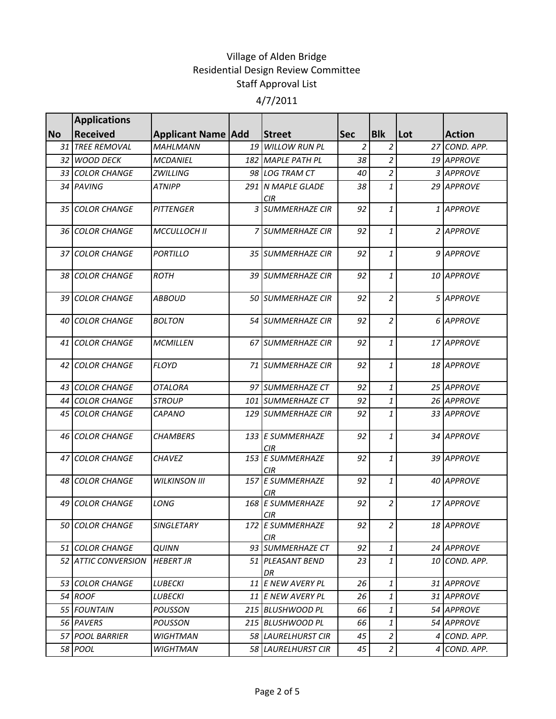|           | <b>Applications</b>    |                             |                                |                |                |     |               |
|-----------|------------------------|-----------------------------|--------------------------------|----------------|----------------|-----|---------------|
| <b>No</b> | <b>Received</b>        | <b>Applicant Name   Add</b> | <b>Street</b>                  | <b>Sec</b>     | <b>Blk</b>     | Lot | <b>Action</b> |
|           | 31 TREE REMOVAL        | <b>MAHLMANN</b>             | 19 WILLOW RUN PL               | $\overline{2}$ | $\overline{a}$ |     | 27 COND. APP. |
|           | 32 WOOD DECK           | <b>MCDANIEL</b>             | 182 MAPLE PATH PL              | 38             | $\overline{a}$ |     | 19 APPROVE    |
|           | 33 COLOR CHANGE        | <b>ZWILLING</b>             | 98 LOG TRAM CT                 | 40             | $\overline{a}$ |     | 3 APPROVE     |
|           | 34 PAVING              | ATNIPP                      | 291 N MAPLE GLADE              | 38             | $\mathbf{1}$   |     | 29 APPROVE    |
|           |                        |                             | CIR <sub>.</sub>               |                |                |     |               |
|           | 35 COLOR CHANGE        | <b>PITTENGER</b>            | 3 SUMMERHAZE CIR               | 92             | $\mathbf{1}$   |     | 1 APPROVE     |
|           | 36 COLOR CHANGE        | <b>MCCULLOCH II</b>         | 7 SUMMERHAZE CIR               | 92             | $\mathbf{1}$   |     | 2 APPROVE     |
|           | 37 COLOR CHANGE        | <b>PORTILLO</b>             | 35 SUMMERHAZE CIR              | 92             | $\mathbf{1}$   |     | 9 APPROVE     |
|           | 38 COLOR CHANGE        | <b>ROTH</b>                 | 39 SUMMERHAZE CIR              | 92             | $\mathbf{1}$   |     | 10 APPROVE    |
|           | 39 COLOR CHANGE        | <b>ABBOUD</b>               | 50 SUMMERHAZE CIR              | 92             | $\overline{2}$ |     | 5 APPROVE     |
|           | <b>40 COLOR CHANGE</b> | <b>BOLTON</b>               | 54 SUMMERHAZE CIR              | 92             | $\overline{2}$ |     | 6 APPROVE     |
|           | 41 COLOR CHANGE        | <b>MCMILLEN</b>             | 67 SUMMERHAZE CIR              | 92             | $\mathbf{1}$   |     | 17 APPROVE    |
|           | 42 COLOR CHANGE        | <b>FLOYD</b>                | 71 SUMMERHAZE CIR              | 92             | $\mathbf{1}$   |     | 18 APPROVE    |
|           | 43 COLOR CHANGE        | <b>OTALORA</b>              | 97 SUMMERHAZE CT               | 92             | $\mathbf{1}$   |     | 25 APPROVE    |
|           | 44 COLOR CHANGE        | <b>STROUP</b>               | 101 SUMMERHAZE CT              | 92             | $\mathbf{1}$   |     | 26 APPROVE    |
|           | 45 COLOR CHANGE        | <b>CAPANO</b>               | 129 SUMMERHAZE CIR             | 92             | $\mathbf{1}$   |     | 33 APPROVE    |
|           | <b>46 COLOR CHANGE</b> | <b>CHAMBERS</b>             | 133 E SUMMERHAZE<br><b>CIR</b> | 92             | $\mathbf{1}$   |     | 34 APPROVE    |
|           | 47 COLOR CHANGE        | <b>CHAVEZ</b>               | 153 E SUMMERHAZE<br>CIR        | 92             | $\mathbf{1}$   |     | 39 APPROVE    |
|           | 48 COLOR CHANGE        | <b>WILKINSON III</b>        | 157 E SUMMERHAZE<br>CIR        | 92             | $\mathbf{1}$   |     | 40 APPROVE    |
| 49        | <b>COLOR CHANGE</b>    | LONG                        | 168 E SUMMERHAZE<br><b>CIR</b> | 92             | $\overline{a}$ |     | 17 APPROVE    |
|           | 50 COLOR CHANGE        | SINGLETARY                  | 172 E SUMMERHAZE<br><b>CIR</b> | 92             | $\overline{2}$ |     | 18 APPROVE    |
|           | <b>51 COLOR CHANGE</b> | <b>QUINN</b>                | 93 SUMMERHAZE CT               | 92             | $\mathbf{1}$   |     | 24 APPROVE    |
|           | 52 ATTIC CONVERSION    | <b>HEBERT JR</b>            | 51 PLEASANT BEND<br>DR         | 23             | $\mathbf{1}$   |     | 10 COND. APP. |
|           | 53 COLOR CHANGE        | LUBECKI                     | 11 E NEW AVERY PL              | 26             | $\mathbf{1}$   |     | 31 APPROVE    |
|           | 54 ROOF                | <b>LUBECKI</b>              | 11 E NEW AVERY PL              | 26             | $\mathbf{1}$   |     | 31 APPROVE    |
|           | 55 FOUNTAIN            | <b>POUSSON</b>              | 215 BLUSHWOOD PL               | 66             | $\mathbf{1}$   |     | 54 APPROVE    |
|           | 56 PAVERS              | <b>POUSSON</b>              | 215 BLUSHWOOD PL               | 66             | $\mathbf{1}$   |     | 54 APPROVE    |
|           | 57 POOL BARRIER        | <b>WIGHTMAN</b>             | 58 LAURELHURST CIR             | 45             | $\overline{a}$ |     | 4 COND. APP.  |
|           | 58 POOL                | WIGHTMAN                    | 58 LAURELHURST CIR             | 45             | $\overline{2}$ |     | 4 COND. APP.  |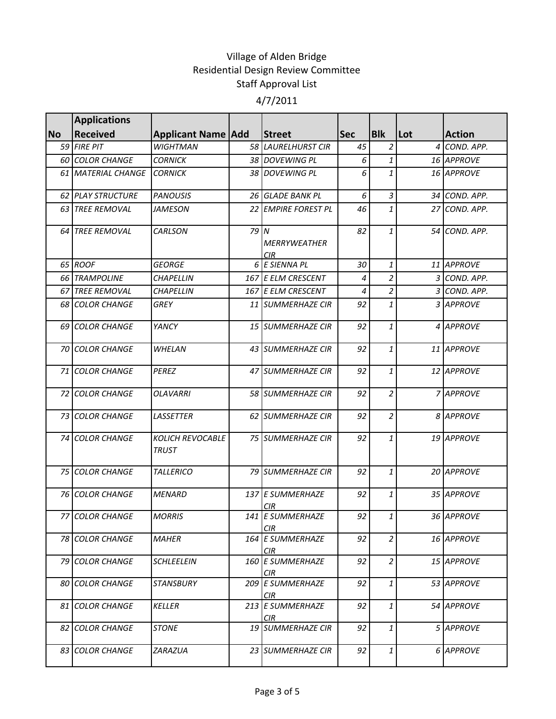|           | <b>Applications</b>      |                                         |      |                                 |            |                |     |               |
|-----------|--------------------------|-----------------------------------------|------|---------------------------------|------------|----------------|-----|---------------|
| <b>No</b> | <b>Received</b>          | <b>Applicant Name   Add</b>             |      | <b>Street</b>                   | <b>Sec</b> | <b>Blk</b>     | Lot | <b>Action</b> |
|           | 59 FIRE PIT              | <b>WIGHTMAN</b>                         |      | 58 LAURELHURST CIR              | 45         | $\overline{c}$ | 4   | COND. APP.    |
|           | <b>60 COLOR CHANGE</b>   | <b>CORNICK</b>                          |      | 38 DOVEWING PL                  | 6          | $\mathbf{1}$   |     | 16 APPROVE    |
|           | 61 MATERIAL CHANGE       | <b>CORNICK</b>                          |      | 38 DOVEWING PL                  | 6          | $\mathbf{1}$   |     | 16 APPROVE    |
|           | <b>62 PLAY STRUCTURE</b> | <b>PANOUSIS</b>                         |      | 26 GLADE BANK PL                | 6          | $\overline{3}$ |     | 34 COND. APP. |
| 63        | <b>TREE REMOVAL</b>      | <b>JAMESON</b>                          |      | 22 EMPIRE FOREST PL             | 46         | $\mathbf{1}$   |     | 27 COND. APP. |
| 64        | <b>TREE REMOVAL</b>      | <b>CARLSON</b>                          | 79 I | N<br><b>MERRYWEATHER</b><br>CIR | 82         | $\mathbf{1}$   |     | 54 COND. APP. |
|           | 65 ROOF                  | <b>GEORGE</b>                           |      | 6 E SIENNA PL                   | 30         | $\mathbf{1}$   |     | 11 APPROVE    |
|           | 66 TRAMPOLINE            | <b>CHAPELLIN</b>                        |      | 167 E ELM CRESCENT              | 4          | $\overline{a}$ |     | 3 COND. APP.  |
| 67        | <b>TREE REMOVAL</b>      | <b>CHAPELLIN</b>                        |      | 167 E ELM CRESCENT              | 4          | $\overline{c}$ |     | 3 COND. APP.  |
|           | 68 COLOR CHANGE          | <b>GREY</b>                             |      | 11 SUMMERHAZE CIR               | 92         | $\mathbf{1}$   |     | 3 APPROVE     |
|           | 69 COLOR CHANGE          | YANCY                                   |      | 15 SUMMERHAZE CIR               | 92         | 1              |     | 4 APPROVE     |
|           | <b>70 COLOR CHANGE</b>   | <b>WHELAN</b>                           |      | 43 SUMMERHAZE CIR               | 92         | $\mathbf{1}$   |     | 11 APPROVE    |
| 71        | <b>COLOR CHANGE</b>      | <b>PEREZ</b>                            |      | 47 SUMMERHAZE CIR               | 92         | $\mathbf{1}$   |     | 12 APPROVE    |
| 72        | <b>COLOR CHANGE</b>      | <b>OLAVARRI</b>                         |      | 58 SUMMERHAZE CIR               | 92         | $\overline{2}$ |     | 7 APPROVE     |
|           | 73 COLOR CHANGE          | <b>LASSETTER</b>                        |      | 62 SUMMERHAZE CIR               | 92         | $\overline{c}$ |     | 8 APPROVE     |
|           | 74 COLOR CHANGE          | <b>KOLICH REVOCABLE</b><br><b>TRUST</b> |      | 75 SUMMERHAZE CIR               | 92         | $\mathbf{1}$   |     | 19 APPROVE    |
|           | 75 COLOR CHANGE          | <b>TALLERICO</b>                        |      | 79 SUMMERHAZE CIR               | 92         | $\it 1$        |     | 20 APPROVE    |
|           | <b>76 COLOR CHANGE</b>   | <b>MENARD</b>                           |      | 137 E SUMMERHAZE<br>CIR         | 92         | $\mathbf{1}$   |     | 35 APPROVE    |
|           | 77 COLOR CHANGE          | <b>MORRIS</b>                           |      | 141 E SUMMERHAZE<br><b>CIR</b>  | 92         | 1              |     | 36 APPROVE    |
|           | <b>78 COLOR CHANGE</b>   | <b>MAHER</b>                            |      | 164 E SUMMERHAZE<br><b>CIR</b>  | 92         | $\overline{a}$ |     | 16 APPROVE    |
|           | 79 COLOR CHANGE          | <b>SCHLEELEIN</b>                       |      | 160 E SUMMERHAZE<br>CIR         | 92         | $\overline{2}$ |     | 15 APPROVE    |
|           | <b>80 COLOR CHANGE</b>   | STANSBURY                               |      | 209 E SUMMERHAZE<br>CIR.        | 92         | $\mathbf{1}$   |     | 53 APPROVE    |
|           | <b>81 COLOR CHANGE</b>   | KELLER                                  |      | 213 E SUMMERHAZE<br>CIR.        | 92         | $\mathbf{1}$   |     | 54 APPROVE    |
|           | <b>82 COLOR CHANGE</b>   | <i><b>STONE</b></i>                     |      | 19 SUMMERHAZE CIR               | 92         | $\mathbf{1}$   |     | 5 APPROVE     |
|           | 83 COLOR CHANGE          | ZARAZUA                                 |      | 23 SUMMERHAZE CIR               | 92         | $\mathbf{1}$   |     | 6 APPROVE     |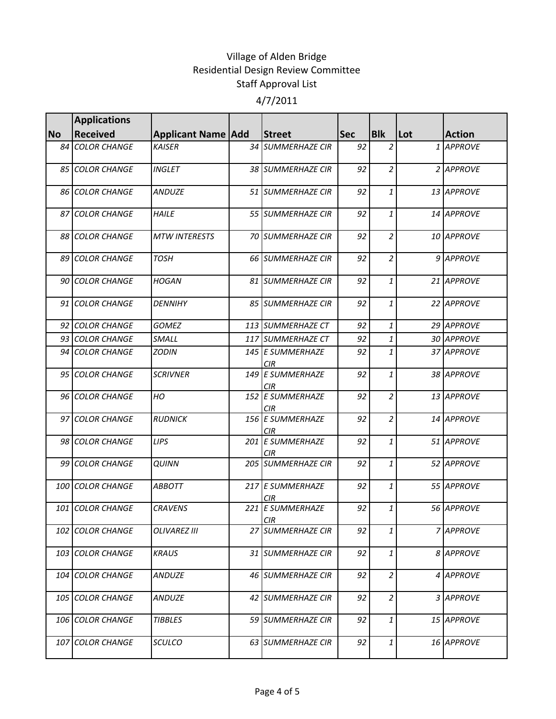|           | <b>Applications</b>    |                           |                                |            |                               |     |               |
|-----------|------------------------|---------------------------|--------------------------------|------------|-------------------------------|-----|---------------|
| <b>No</b> | <b>Received</b>        | <b>Applicant Name Add</b> | <b>Street</b>                  | <b>Sec</b> | <b>Blk</b>                    | Lot | <b>Action</b> |
| 84        | <b>COLOR CHANGE</b>    | <b>KAISER</b>             | 34 SUMMERHAZE CIR              | 92         | $\overline{a}$                |     | 1 APPROVE     |
|           | <b>85 COLOR CHANGE</b> | <b>INGLET</b>             | 38 SUMMERHAZE CIR              | 92         | $\overline{a}$                |     | 2 APPROVE     |
|           | 86 COLOR CHANGE        | <b>ANDUZE</b>             | 51 SUMMERHAZE CIR              | 92         | $\mathbf{1}$                  |     | 13 APPROVE    |
|           | 87 COLOR CHANGE        | <b>HAILE</b>              | 55 SUMMERHAZE CIR              | 92         | 1                             |     | 14 APPROVE    |
|           | <b>88 COLOR CHANGE</b> | <b>MTW INTERESTS</b>      | <b>70 SUMMERHAZE CIR</b>       | 92         | $\overline{c}$                |     | 10 APPROVE    |
|           | 89 COLOR CHANGE        | <b>TOSH</b>               | 66 SUMMERHAZE CIR              | 92         | $\overline{a}$                |     | 9 APPROVE     |
|           | <b>90 COLOR CHANGE</b> | <b>HOGAN</b>              | 81 SUMMERHAZE CIR              | 92         | $\mathbf{1}$                  |     | 21 APPROVE    |
|           | 91 COLOR CHANGE        | <b>DENNIHY</b>            | 85 SUMMERHAZE CIR              | 92         | $\mathbf{1}$                  |     | 22 APPROVE    |
|           | 92 COLOR CHANGE        | <b>GOMEZ</b>              | 113 SUMMERHAZE CT              | 92         | 1                             |     | 29 APPROVE    |
|           | 93 COLOR CHANGE        | SMALL                     | 117 SUMMERHAZE CT              | 92         | 1                             |     | 30 APPROVE    |
|           | 94 COLOR CHANGE        | <b>ZODIN</b>              | 145 E SUMMERHAZE<br><b>CIR</b> | 92         | $\mathbf{1}$                  |     | 37 APPROVE    |
|           | 95 COLOR CHANGE        | <b>SCRIVNER</b>           | 149 E SUMMERHAZE<br><b>CIR</b> | 92         | $\mathbf{1}$                  |     | 38 APPROVE    |
|           | 96 COLOR CHANGE        | HO                        | 152 E SUMMERHAZE<br>CIR        | 92         | $\overline{a}$                |     | 13 APPROVE    |
|           | 97 COLOR CHANGE        | <b>RUDNICK</b>            | 156 E SUMMERHAZE<br>CIR        | 92         | $\overline{a}$                |     | 14 APPROVE    |
|           | 98 COLOR CHANGE        | <b>LIPS</b>               | 201 E SUMMERHAZE<br><b>CIR</b> | 92         | $\mathbf{1}$                  |     | 51 APPROVE    |
| 99        | <b>COLOR CHANGE</b>    | <b>QUINN</b>              | 205 SUMMERHAZE CIR             | 92         | $\mathbf{1}$                  |     | 52 APPROVE    |
| 100       | <b>COLOR CHANGE</b>    | <b>ABBOTT</b>             | 217 E SUMMERHAZE<br>CIR        | 92         | 1                             |     | 55 APPROVE    |
| 101       | <b>COLOR CHANGE</b>    | <b>CRAVENS</b>            | 221 E SUMMERHAZE<br><b>CIR</b> | 92         | 1                             |     | 56 APPROVE    |
| 102       | <b>COLOR CHANGE</b>    | OLIVAREZ III              | 27 SUMMERHAZE CIR              | 92         | 1                             |     | 7 APPROVE     |
| 103       | <b>COLOR CHANGE</b>    | <b>KRAUS</b>              | 31 SUMMERHAZE CIR              | 92         | $\ensuremath{\mathbf{1}}$     |     | 8 APPROVE     |
| 104       | <b>COLOR CHANGE</b>    | <b>ANDUZE</b>             | 46 SUMMERHAZE CIR              | 92         | $\overline{2}$                |     | 4 APPROVE     |
|           | 105 COLOR CHANGE       | <b>ANDUZE</b>             | 42 SUMMERHAZE CIR              | 92         | $\overline{a}$                |     | 3 APPROVE     |
|           | 106 COLOR CHANGE       | <b>TIBBLES</b>            | 59 SUMMERHAZE CIR              | 92         | $\mathbf{1}$                  |     | 15 APPROVE    |
|           | 107 COLOR CHANGE       | <b>SCULCO</b>             | 63 SUMMERHAZE CIR              | 92         | $\ensuremath{\mathnormal{1}}$ |     | 16 APPROVE    |